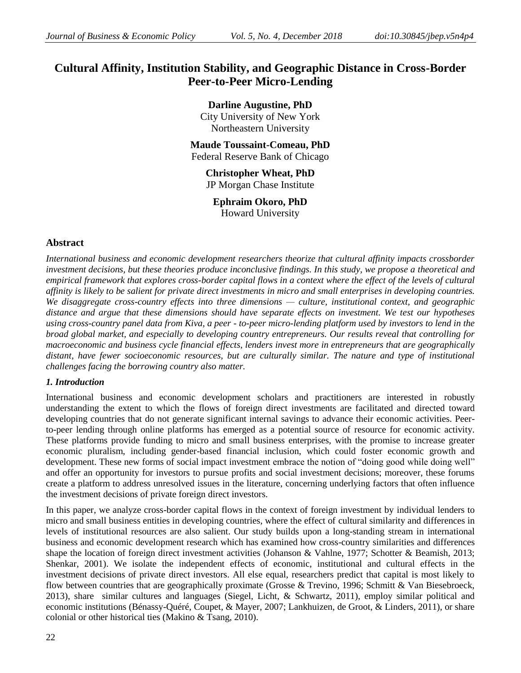# **Cultural Affinity, Institution Stability, and Geographic Distance in Cross-Border Peer-to-Peer Micro-Lending**

**Darline Augustine, PhD**  City University of New York Northeastern University

**Maude Toussaint-Comeau, PhD** Federal Reserve Bank of Chicago

> **Christopher Wheat, PhD** JP Morgan Chase Institute

**Ephraim Okoro, PhD** Howard University

# **Abstract**

*International business and economic development researchers theorize that cultural affinity impacts crossborder investment decisions, but these theories produce inconclusive findings. In this study, we propose a theoretical and empirical framework that explores cross-border capital flows in a context where the effect of the levels of cultural affinity is likely to be salient for private direct investments in micro and small enterprises in developing countries. We disaggregate cross-country effects into three dimensions — culture, institutional context, and geographic distance and argue that these dimensions should have separate effects on investment. We test our hypotheses using cross-country panel data from Kiva, a peer - to-peer micro-lending platform used by investors to lend in the broad global market, and especially to developing country entrepreneurs. Our results reveal that controlling for macroeconomic and business cycle financial effects, lenders invest more in entrepreneurs that are geographically distant, have fewer socioeconomic resources, but are culturally similar. The nature and type of institutional challenges facing the borrowing country also matter.*

# *1. Introduction*

International business and economic development scholars and practitioners are interested in robustly understanding the extent to which the flows of foreign direct investments are facilitated and directed toward developing countries that do not generate significant internal savings to advance their economic activities. Peerto-peer lending through online platforms has emerged as a potential source of resource for economic activity. These platforms provide funding to micro and small business enterprises, with the promise to increase greater economic pluralism, including gender-based financial inclusion, which could foster economic growth and development. These new forms of social impact investment embrace the notion of "doing good while doing well" and offer an opportunity for investors to pursue profits and social investment decisions; moreover, these forums create a platform to address unresolved issues in the literature, concerning underlying factors that often influence the investment decisions of private foreign direct investors.

In this paper, we analyze cross-border capital flows in the context of foreign investment by individual lenders to micro and small business entities in developing countries, where the effect of cultural similarity and differences in levels of institutional resources are also salient. Our study builds upon a long-standing stream in international business and economic development research which has examined how cross-country similarities and differences shape the location of foreign direct investment activities (Johanson & Vahlne, 1977; Schotter & Beamish, 2013; Shenkar, 2001). We isolate the independent effects of economic, institutional and cultural effects in the investment decisions of private direct investors. All else equal, researchers predict that capital is most likely to flow between countries that are geographically proximate (Grosse & Trevino, 1996; Schmitt & Van Biesebroeck, 2013), share similar cultures and languages (Siegel, Licht, & Schwartz, 2011), employ similar political and economic institutions (Bénassy-Quéré, Coupet, & Mayer, 2007; Lankhuizen, de Groot, & Linders, 2011), or share colonial or other historical ties (Makino & Tsang, 2010).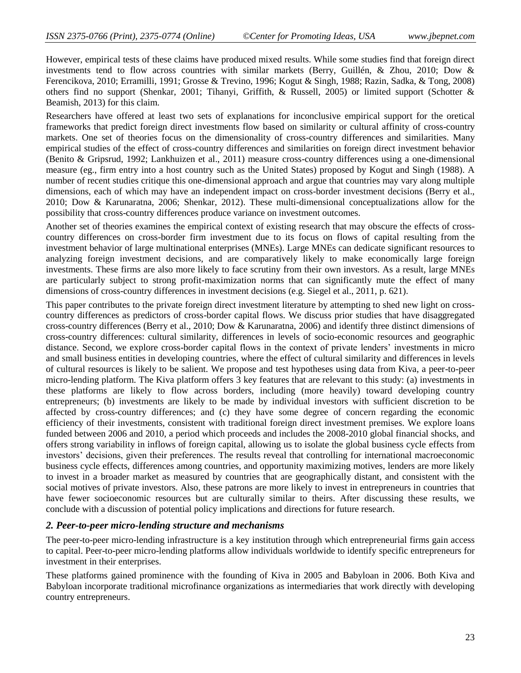However, empirical tests of these claims have produced mixed results. While some studies find that foreign direct investments tend to flow across countries with similar markets (Berry, Guillén, & Zhou, 2010; Dow & Ferencikova, 2010; Erramilli, 1991; Grosse & Trevino, 1996; Kogut & Singh, 1988; Razin, Sadka, & Tong, 2008) others find no support (Shenkar, 2001; Tihanyi, Griffith, & Russell, 2005) or limited support (Schotter & Beamish, 2013) for this claim.

Researchers have offered at least two sets of explanations for inconclusive empirical support for the oretical frameworks that predict foreign direct investments flow based on similarity or cultural affinity of cross-country markets. One set of theories focus on the dimensionality of cross-country differences and similarities. Many empirical studies of the effect of cross-country differences and similarities on foreign direct investment behavior (Benito & Gripsrud, 1992; Lankhuizen et al., 2011) measure cross-country differences using a one-dimensional measure (eg., firm entry into a host country such as the United States) proposed by Kogut and Singh (1988). A number of recent studies critique this one-dimensional approach and argue that countries may vary along multiple dimensions, each of which may have an independent impact on cross-border investment decisions (Berry et al., 2010; Dow & Karunaratna, 2006; Shenkar, 2012). These multi-dimensional conceptualizations allow for the possibility that cross-country differences produce variance on investment outcomes.

Another set of theories examines the empirical context of existing research that may obscure the effects of crosscountry differences on cross-border firm investment due to its focus on flows of capital resulting from the investment behavior of large multinational enterprises (MNEs). Large MNEs can dedicate significant resources to analyzing foreign investment decisions, and are comparatively likely to make economically large foreign investments. These firms are also more likely to face scrutiny from their own investors. As a result, large MNEs are particularly subject to strong profit-maximization norms that can significantly mute the effect of many dimensions of cross-country differences in investment decisions (e.g. Siegel et al., 2011, p. 621).

This paper contributes to the private foreign direct investment literature by attempting to shed new light on crosscountry differences as predictors of cross-border capital flows. We discuss prior studies that have disaggregated cross-country differences (Berry et al., 2010; Dow & Karunaratna, 2006) and identify three distinct dimensions of cross-country differences: cultural similarity, differences in levels of socio-economic resources and geographic distance. Second, we explore cross-border capital flows in the context of private lenders' investments in micro and small business entities in developing countries, where the effect of cultural similarity and differences in levels of cultural resources is likely to be salient. We propose and test hypotheses using data from Kiva, a peer-to-peer micro-lending platform. The Kiva platform offers 3 key features that are relevant to this study: (a) investments in these platforms are likely to flow across borders, including (more heavily) toward developing country entrepreneurs; (b) investments are likely to be made by individual investors with sufficient discretion to be affected by cross-country differences; and (c) they have some degree of concern regarding the economic efficiency of their investments, consistent with traditional foreign direct investment premises. We explore loans funded between 2006 and 2010, a period which proceeds and includes the 2008-2010 global financial shocks, and offers strong variability in inflows of foreign capital, allowing us to isolate the global business cycle effects from investors' decisions, given their preferences. The results reveal that controlling for international macroeconomic business cycle effects, differences among countries, and opportunity maximizing motives, lenders are more likely to invest in a broader market as measured by countries that are geographically distant, and consistent with the social motives of private investors. Also, these patrons are more likely to invest in entrepreneurs in countries that have fewer socioeconomic resources but are culturally similar to theirs. After discussing these results, we conclude with a discussion of potential policy implications and directions for future research.

# *2. Peer-to-peer micro-lending structure and mechanisms*

The peer-to-peer micro-lending infrastructure is a key institution through which entrepreneurial firms gain access to capital. Peer-to-peer micro-lending platforms allow individuals worldwide to identify specific entrepreneurs for investment in their enterprises.

These platforms gained prominence with the founding of Kiva in 2005 and Babyloan in 2006. Both Kiva and Babyloan incorporate traditional microfinance organizations as intermediaries that work directly with developing country entrepreneurs.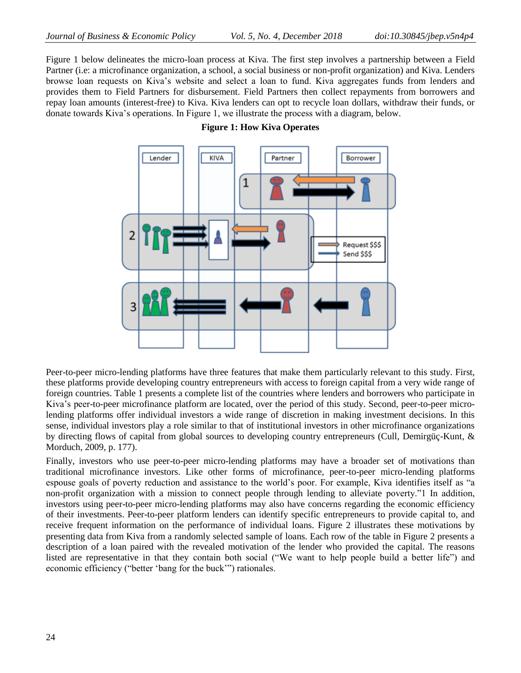Figure 1 below delineates the micro-loan process at Kiva. The first step involves a partnership between a Field Partner (i.e: a microfinance organization, a school, a social business or non-profit organization) and Kiva. Lenders browse loan requests on Kiva's website and select a loan to fund. Kiva aggregates funds from lenders and provides them to Field Partners for disbursement. Field Partners then collect repayments from borrowers and repay loan amounts (interest-free) to Kiva. Kiva lenders can opt to recycle loan dollars, withdraw their funds, or donate towards Kiva's operations. In Figure 1, we illustrate the process with a diagram, below.





Peer-to-peer micro-lending platforms have three features that make them particularly relevant to this study. First, these platforms provide developing country entrepreneurs with access to foreign capital from a very wide range of foreign countries. Table 1 presents a complete list of the countries where lenders and borrowers who participate in Kiva's peer-to-peer microfinance platform are located, over the period of this study. Second, peer-to-peer microlending platforms offer individual investors a wide range of discretion in making investment decisions. In this sense, individual investors play a role similar to that of institutional investors in other microfinance organizations by directing flows of capital from global sources to developing country entrepreneurs (Cull, Demirgüç-Kunt, & Morduch, 2009, p. 177).

Finally, investors who use peer-to-peer micro-lending platforms may have a broader set of motivations than traditional microfinance investors. Like other forms of microfinance, peer-to-peer micro-lending platforms espouse goals of poverty reduction and assistance to the world's poor. For example, Kiva identifies itself as "a non-profit organization with a mission to connect people through lending to alleviate poverty." I In addition, investors using peer-to-peer micro-lending platforms may also have concerns regarding the economic efficiency of their investments. Peer-to-peer platform lenders can identify specific entrepreneurs to provide capital to, and receive frequent information on the performance of individual loans. Figure 2 illustrates these motivations by presenting data from Kiva from a randomly selected sample of loans. Each row of the table in Figure 2 presents a description of a loan paired with the revealed motivation of the lender who provided the capital. The reasons listed are representative in that they contain both social ("We want to help people build a better life") and economic efficiency ("better 'bang for the buck'") rationales.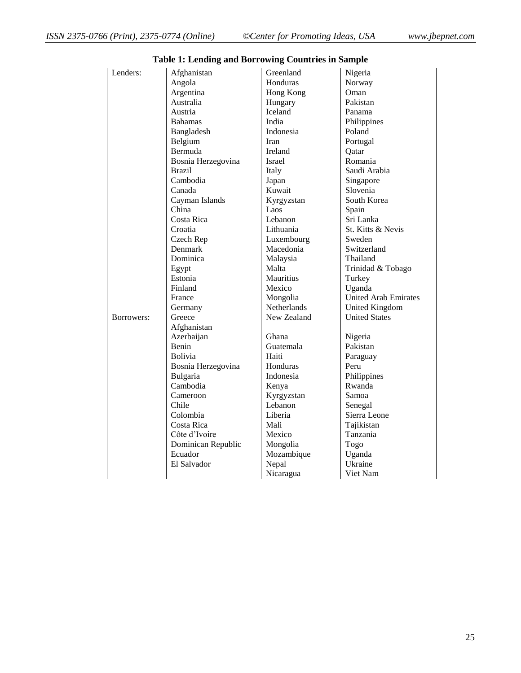| Lenders:   | Afghanistan        | Greenland     | Nigeria                     |
|------------|--------------------|---------------|-----------------------------|
|            | Angola             | Honduras      | Norway                      |
|            | Argentina          | Hong Kong     | Oman                        |
|            | Australia          | Hungary       | Pakistan                    |
|            | Austria            | Iceland       | Panama                      |
|            | <b>Bahamas</b>     | India         | Philippines                 |
|            | Bangladesh         | Indonesia     | Poland                      |
|            | Belgium            | Iran          | Portugal                    |
|            | Bermuda            | Ireland       | Oatar                       |
|            | Bosnia Herzegovina | <b>Israel</b> | Romania                     |
|            | Brazil             | Italy         | Saudi Arabia                |
|            | Cambodia           | Japan         | Singapore                   |
|            | Canada             | Kuwait        | Slovenia                    |
|            | Cayman Islands     | Kyrgyzstan    | South Korea                 |
|            | China              | Laos          | Spain                       |
|            | Costa Rica         | Lebanon       | Sri Lanka                   |
|            | Croatia            | Lithuania     | St. Kitts & Nevis           |
|            | Czech Rep          | Luxembourg    | Sweden                      |
|            | Denmark            | Macedonia     | Switzerland                 |
|            | Dominica           | Malaysia      | Thailand                    |
|            | Egypt              | Malta         | Trinidad & Tobago           |
|            | Estonia            | Mauritius     | Turkey                      |
|            | Finland            | Mexico        | Uganda                      |
|            | France             | Mongolia      | <b>United Arab Emirates</b> |
|            | Germany            | Netherlands   | United Kingdom              |
| Borrowers: | Greece             | New Zealand   | <b>United States</b>        |
|            | Afghanistan        |               |                             |
|            | Azerbaijan         | Ghana         | Nigeria                     |
|            | Benin              | Guatemala     | Pakistan                    |
|            | <b>Bolivia</b>     | Haiti         | Paraguay                    |
|            | Bosnia Herzegovina | Honduras      | Peru                        |
|            | Bulgaria           | Indonesia     | Philippines                 |
|            | Cambodia           | Kenya         | Rwanda                      |
|            | Cameroon           | Kyrgyzstan    | Samoa                       |
|            | Chile              | Lebanon       | Senegal                     |
|            | Colombia           | Liberia       | Sierra Leone                |
|            | Costa Rica         | Mali          | Tajikistan                  |
|            | Côte d'Ivoire      | Mexico        | Tanzania                    |
|            | Dominican Republic | Mongolia      | Togo                        |
|            | Ecuador            | Mozambique    | Uganda                      |
|            | El Salvador        | Nepal         | Ukraine                     |
|            |                    | Nicaragua     | Viet Nam                    |

| <b>Table 1: Lending and Borrowing Countries in Sample</b> |  |  |  |  |  |  |  |
|-----------------------------------------------------------|--|--|--|--|--|--|--|
|-----------------------------------------------------------|--|--|--|--|--|--|--|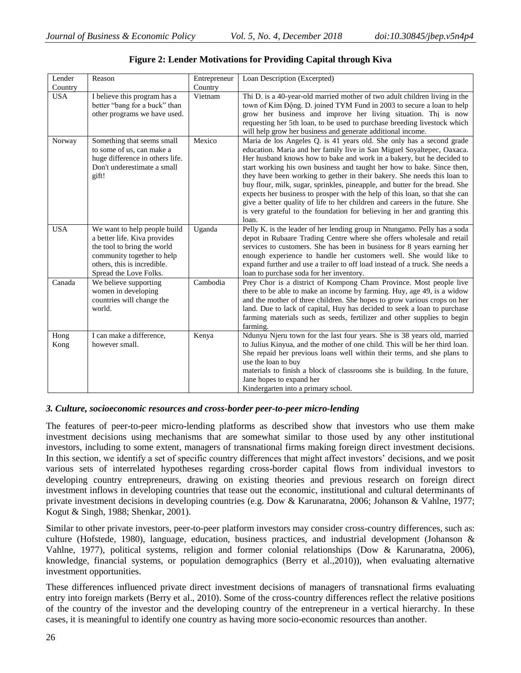| Lender       | Reason                                                                                                                                                                             | Entrepreneur | Loan Description (Excerpted)                                                                                                                                                                                                                                                                                                                                                                                                                                                                                                                                                                                                                                                                                      |
|--------------|------------------------------------------------------------------------------------------------------------------------------------------------------------------------------------|--------------|-------------------------------------------------------------------------------------------------------------------------------------------------------------------------------------------------------------------------------------------------------------------------------------------------------------------------------------------------------------------------------------------------------------------------------------------------------------------------------------------------------------------------------------------------------------------------------------------------------------------------------------------------------------------------------------------------------------------|
| Country      |                                                                                                                                                                                    | Country      |                                                                                                                                                                                                                                                                                                                                                                                                                                                                                                                                                                                                                                                                                                                   |
| <b>USA</b>   | I believe this program has a<br>better "bang for a buck" than<br>other programs we have used.                                                                                      | Vietnam      | Thi D. is a 40-year-old married mother of two adult children living in the<br>town of Kim Động. D. joined TYM Fund in 2003 to secure a loan to help<br>grow her business and improve her living situation. Thi is now<br>requesting her 5th loan, to be used to purchase breeding livestock which<br>will help grow her business and generate additional income.                                                                                                                                                                                                                                                                                                                                                  |
| Norway       | Something that seems small<br>to some of us, can make a<br>huge difference in others life.<br>Don't underestimate a small<br>gift!                                                 | Mexico       | Maria de los Angeles Q. is 41 years old. She only has a second grade<br>education. Maria and her family live in San Miguel Soyaltepec, Oaxaca.<br>Her husband knows how to bake and work in a bakery, but he decided to<br>start working his own business and taught her how to bake. Since then,<br>they have been working to gether in their bakery. She needs this loan to<br>buy flour, milk, sugar, sprinkles, pineapple, and butter for the bread. She<br>expects her business to prosper with the help of this loan, so that she can<br>give a better quality of life to her children and careers in the future. She<br>is very grateful to the foundation for believing in her and granting this<br>loan. |
| <b>USA</b>   | We want to help people build<br>a better life. Kiva provides<br>the tool to bring the world<br>community together to help<br>others, this is incredible.<br>Spread the Love Folks. | Uganda       | Pelly K. is the leader of her lending group in Ntungamo. Pelly has a soda<br>depot in Rubaare Trading Centre where she offers wholesale and retail<br>services to customers. She has been in business for 8 years earning her<br>enough experience to handle her customers well. She would like to<br>expand further and use a trailer to off load instead of a truck. She needs a<br>loan to purchase soda for her inventory.                                                                                                                                                                                                                                                                                    |
| Canada       | We believe supporting<br>women in developing<br>countries will change the<br>world.                                                                                                | Cambodia     | Prey Chor is a district of Kompong Cham Province. Most people live<br>there to be able to make an income by farming. Huy, age 49, is a widow<br>and the mother of three children. She hopes to grow various crops on her<br>land. Due to lack of capital, Huy has decided to seek a loan to purchase<br>farming materials such as seeds, fertilizer and other supplies to begin<br>farming.                                                                                                                                                                                                                                                                                                                       |
| Hong<br>Kong | I can make a difference,<br>however small.                                                                                                                                         | Kenya        | Ndunyu Njeru town for the last four years. She is 38 years old, married<br>to Julius Kinyua, and the mother of one child. This will be her third loan.<br>She repaid her previous loans well within their terms, and she plans to<br>use the loan to buy<br>materials to finish a block of classrooms she is building. In the future,<br>Jane hopes to expand her<br>Kindergarten into a primary school.                                                                                                                                                                                                                                                                                                          |

# **Figure 2: Lender Motivations for Providing Capital through Kiva**

# *3. Culture, socioeconomic resources and cross-border peer-to-peer micro-lending*

The features of peer-to-peer micro-lending platforms as described show that investors who use them make investment decisions using mechanisms that are somewhat similar to those used by any other institutional investors, including to some extent, managers of transnational firms making foreign direct investment decisions. In this section, we identify a set of specific country differences that might affect investors' decisions, and we posit various sets of interrelated hypotheses regarding cross-border capital flows from individual investors to developing country entrepreneurs, drawing on existing theories and previous research on foreign direct investment inflows in developing countries that tease out the economic, institutional and cultural determinants of private investment decisions in developing countries (e.g. Dow & Karunaratna, 2006; Johanson & Vahlne, 1977; Kogut & Singh, 1988; Shenkar, 2001).

Similar to other private investors, peer-to-peer platform investors may consider cross-country differences, such as: culture (Hofstede, 1980), language, education, business practices, and industrial development (Johanson & Vahlne, 1977), political systems, religion and former colonial relationships (Dow & Karunaratna, 2006), knowledge, financial systems, or population demographics (Berry et al.,2010)), when evaluating alternative investment opportunities.

These differences influenced private direct investment decisions of managers of transnational firms evaluating entry into foreign markets (Berry et al., 2010). Some of the cross-country differences reflect the relative positions of the country of the investor and the developing country of the entrepreneur in a vertical hierarchy. In these cases, it is meaningful to identify one country as having more socio-economic resources than another.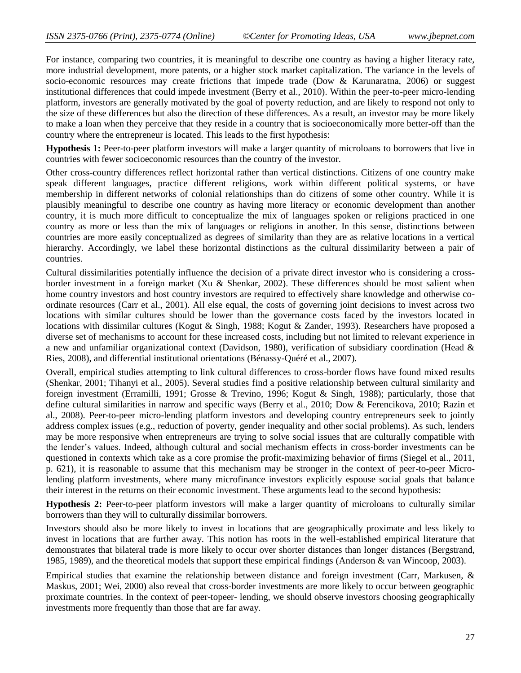For instance, comparing two countries, it is meaningful to describe one country as having a higher literacy rate, more industrial development, more patents, or a higher stock market capitalization. The variance in the levels of socio-economic resources may create frictions that impede trade (Dow & Karunaratna, 2006) or suggest institutional differences that could impede investment (Berry et al., 2010). Within the peer-to-peer micro-lending platform, investors are generally motivated by the goal of poverty reduction, and are likely to respond not only to the size of these differences but also the direction of these differences. As a result, an investor may be more likely to make a loan when they perceive that they reside in a country that is socioeconomically more better-off than the country where the entrepreneur is located. This leads to the first hypothesis:

**Hypothesis 1:** Peer-to-peer platform investors will make a larger quantity of microloans to borrowers that live in countries with fewer socioeconomic resources than the country of the investor.

Other cross-country differences reflect horizontal rather than vertical distinctions. Citizens of one country make speak different languages, practice different religions, work within different political systems, or have membership in different networks of colonial relationships than do citizens of some other country. While it is plausibly meaningful to describe one country as having more literacy or economic development than another country, it is much more difficult to conceptualize the mix of languages spoken or religions practiced in one country as more or less than the mix of languages or religions in another. In this sense, distinctions between countries are more easily conceptualized as degrees of similarity than they are as relative locations in a vertical hierarchy. Accordingly, we label these horizontal distinctions as the cultural dissimilarity between a pair of countries.

Cultural dissimilarities potentially influence the decision of a private direct investor who is considering a crossborder investment in a foreign market (Xu & Shenkar, 2002). These differences should be most salient when home country investors and host country investors are required to effectively share knowledge and otherwise coordinate resources (Carr et al., 2001). All else equal, the costs of governing joint decisions to invest across two locations with similar cultures should be lower than the governance costs faced by the investors located in locations with dissimilar cultures (Kogut & Singh, 1988; Kogut & Zander, 1993). Researchers have proposed a diverse set of mechanisms to account for these increased costs, including but not limited to relevant experience in a new and unfamiliar organizational context (Davidson, 1980), verification of subsidiary coordination (Head & Ries, 2008), and differential institutional orientations (Bénassy-Quéré et al., 2007).

Overall, empirical studies attempting to link cultural differences to cross-border flows have found mixed results (Shenkar, 2001; Tihanyi et al., 2005). Several studies find a positive relationship between cultural similarity and foreign investment (Erramilli, 1991; Grosse & Trevino, 1996; Kogut & Singh, 1988); particularly, those that define cultural similarities in narrow and specific ways (Berry et al., 2010; Dow & Ferencikova, 2010; Razin et al., 2008). Peer-to-peer micro-lending platform investors and developing country entrepreneurs seek to jointly address complex issues (e.g., reduction of poverty, gender inequality and other social problems). As such, lenders may be more responsive when entrepreneurs are trying to solve social issues that are culturally compatible with the lender's values. Indeed, although cultural and social mechanism effects in cross-border investments can be questioned in contexts which take as a core promise the profit-maximizing behavior of firms (Siegel et al., 2011, p. 621), it is reasonable to assume that this mechanism may be stronger in the context of peer-to-peer Microlending platform investments, where many microfinance investors explicitly espouse social goals that balance their interest in the returns on their economic investment. These arguments lead to the second hypothesis:

**Hypothesis 2:** Peer-to-peer platform investors will make a larger quantity of microloans to culturally similar borrowers than they will to culturally dissimilar borrowers.

Investors should also be more likely to invest in locations that are geographically proximate and less likely to invest in locations that are further away. This notion has roots in the well-established empirical literature that demonstrates that bilateral trade is more likely to occur over shorter distances than longer distances (Bergstrand, 1985, 1989), and the theoretical models that support these empirical findings (Anderson & van Wincoop, 2003).

Empirical studies that examine the relationship between distance and foreign investment (Carr, Markusen, & Maskus, 2001; Wei, 2000) also reveal that cross-border investments are more likely to occur between geographic proximate countries. In the context of peer-topeer- lending, we should observe investors choosing geographically investments more frequently than those that are far away.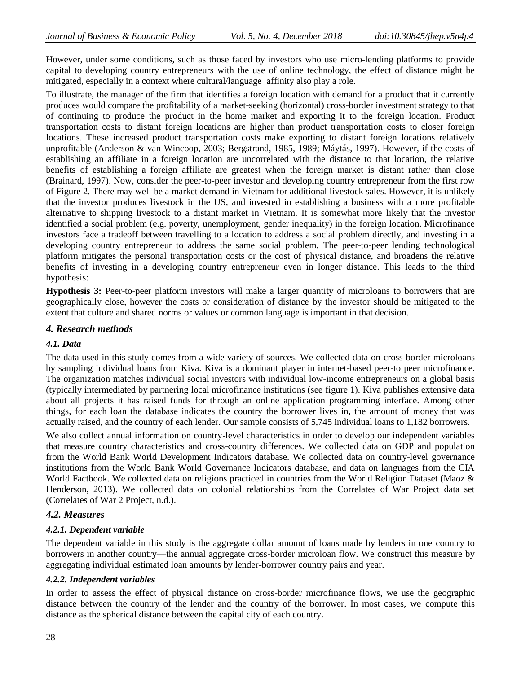However, under some conditions, such as those faced by investors who use micro-lending platforms to provide capital to developing country entrepreneurs with the use of online technology, the effect of distance might be mitigated, especially in a context where cultural/language affinity also play a role.

To illustrate, the manager of the firm that identifies a foreign location with demand for a product that it currently produces would compare the profitability of a market-seeking (horizontal) cross-border investment strategy to that of continuing to produce the product in the home market and exporting it to the foreign location. Product transportation costs to distant foreign locations are higher than product transportation costs to closer foreign locations. These increased product transportation costs make exporting to distant foreign locations relatively unprofitable (Anderson & van Wincoop, 2003; Bergstrand, 1985, 1989; Máytás, 1997). However, if the costs of establishing an affiliate in a foreign location are uncorrelated with the distance to that location, the relative benefits of establishing a foreign affiliate are greatest when the foreign market is distant rather than close (Brainard, 1997). Now, consider the peer-to-peer investor and developing country entrepreneur from the first row of Figure 2. There may well be a market demand in Vietnam for additional livestock sales. However, it is unlikely that the investor produces livestock in the US, and invested in establishing a business with a more profitable alternative to shipping livestock to a distant market in Vietnam. It is somewhat more likely that the investor identified a social problem (e.g. poverty, unemployment, gender inequality) in the foreign location. Microfinance investors face a tradeoff between travelling to a location to address a social problem directly, and investing in a developing country entrepreneur to address the same social problem. The peer-to-peer lending technological platform mitigates the personal transportation costs or the cost of physical distance, and broadens the relative benefits of investing in a developing country entrepreneur even in longer distance. This leads to the third hypothesis:

**Hypothesis 3:** Peer-to-peer platform investors will make a larger quantity of microloans to borrowers that are geographically close, however the costs or consideration of distance by the investor should be mitigated to the extent that culture and shared norms or values or common language is important in that decision.

# *4. Research methods*

# *4.1. Data*

The data used in this study comes from a wide variety of sources. We collected data on cross-border microloans by sampling individual loans from Kiva. Kiva is a dominant player in internet-based peer-to peer microfinance. The organization matches individual social investors with individual low-income entrepreneurs on a global basis (typically intermediated by partnering local microfinance institutions (see figure 1). Kiva publishes extensive data about all projects it has raised funds for through an online application programming interface. Among other things, for each loan the database indicates the country the borrower lives in, the amount of money that was actually raised, and the country of each lender. Our sample consists of 5,745 individual loans to 1,182 borrowers.

We also collect annual information on country-level characteristics in order to develop our independent variables that measure country characteristics and cross-country differences. We collected data on GDP and population from the World Bank World Development Indicators database. We collected data on country-level governance institutions from the World Bank World Governance Indicators database, and data on languages from the CIA World Factbook. We collected data on religions practiced in countries from the World Religion Dataset (Maoz & Henderson, 2013). We collected data on colonial relationships from the Correlates of War Project data set (Correlates of War 2 Project, n.d.).

# *4.2. Measures*

# *4.2.1. Dependent variable*

The dependent variable in this study is the aggregate dollar amount of loans made by lenders in one country to borrowers in another country—the annual aggregate cross-border microloan flow. We construct this measure by aggregating individual estimated loan amounts by lender-borrower country pairs and year.

# *4.2.2. Independent variables*

In order to assess the effect of physical distance on cross-border microfinance flows, we use the geographic distance between the country of the lender and the country of the borrower. In most cases, we compute this distance as the spherical distance between the capital city of each country.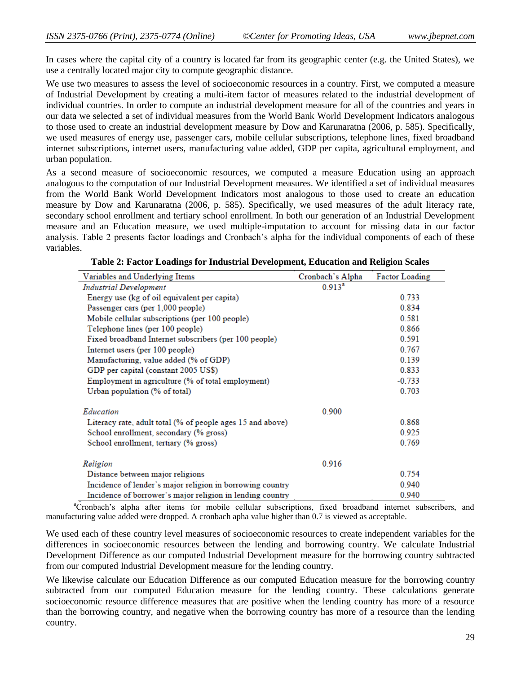In cases where the capital city of a country is located far from its geographic center (e.g. the United States), we use a centrally located major city to compute geographic distance.

We use two measures to assess the level of socioeconomic resources in a country. First, we computed a measure of Industrial Development by creating a multi-item factor of measures related to the industrial development of individual countries. In order to compute an industrial development measure for all of the countries and years in our data we selected a set of individual measures from the World Bank World Development Indicators analogous to those used to create an industrial development measure by Dow and Karunaratna (2006, p. 585). Specifically, we used measures of energy use, passenger cars, mobile cellular subscriptions, telephone lines, fixed broadband internet subscriptions, internet users, manufacturing value added, GDP per capita, agricultural employment, and urban population.

As a second measure of socioeconomic resources, we computed a measure Education using an approach analogous to the computation of our Industrial Development measures. We identified a set of individual measures from the World Bank World Development Indicators most analogous to those used to create an education measure by Dow and Karunaratna (2006, p. 585). Specifically, we used measures of the adult literacy rate, secondary school enrollment and tertiary school enrollment. In both our generation of an Industrial Development measure and an Education measure, we used multiple-imputation to account for missing data in our factor analysis. Table 2 presents factor loadings and Cronbach's alpha for the individual components of each of these variables.

| Variables and Underlying Items                             | Cronbach's Alpha   | Factor Loading |
|------------------------------------------------------------|--------------------|----------------|
| <b>Industrial Development</b>                              | 0.913 <sup>a</sup> |                |
| Energy use (kg of oil equivalent per capita)               |                    | 0.733          |
| Passenger cars (per 1,000 people)                          |                    | 0.834          |
| Mobile cellular subscriptions (per 100 people)             |                    | 0.581          |
| Telephone lines (per 100 people)                           |                    | 0.866          |
| Fixed broadband Internet subscribers (per 100 people)      |                    | 0.591          |
| Internet users (per 100 people)                            |                    | 0.767          |
| Manufacturing, value added (% of GDP)                      |                    | 0.139          |
| GDP per capital (constant 2005 US\$)                       |                    | 0.833          |
| Employment in agriculture (% of total employment)          |                    | $-0.733$       |
| Urban population (% of total)                              |                    | 0.703          |
| Education                                                  | 0.900              |                |
| Literacy rate, adult total (% of people ages 15 and above) |                    | 0.868          |
| School enrollment, secondary (% gross)                     |                    | 0.925          |
| School enrollment, tertiary (% gross)                      |                    | 0.769          |
| Religion                                                   | 0.916              |                |
| Distance between major religions                           |                    | 0.754          |
| Incidence of lender's major religion in borrowing country  |                    | 0.940          |
| Incidence of borrower's major religion in lending country  |                    | 0.940          |

**Table 2: Factor Loadings for Industrial Development, Education and Religion Scales**

<sup>a</sup>Cronbach's alpha after items for mobile cellular subscriptions, fixed broadband internet subscribers, and manufacturing value added were dropped. A cronbach apha value higher than 0.7 is viewed as acceptable.

We used each of these country level measures of socioeconomic resources to create independent variables for the differences in socioeconomic resources between the lending and borrowing country. We calculate Industrial Development Difference as our computed Industrial Development measure for the borrowing country subtracted from our computed Industrial Development measure for the lending country.

We likewise calculate our Education Difference as our computed Education measure for the borrowing country subtracted from our computed Education measure for the lending country. These calculations generate socioeconomic resource difference measures that are positive when the lending country has more of a resource than the borrowing country, and negative when the borrowing country has more of a resource than the lending country.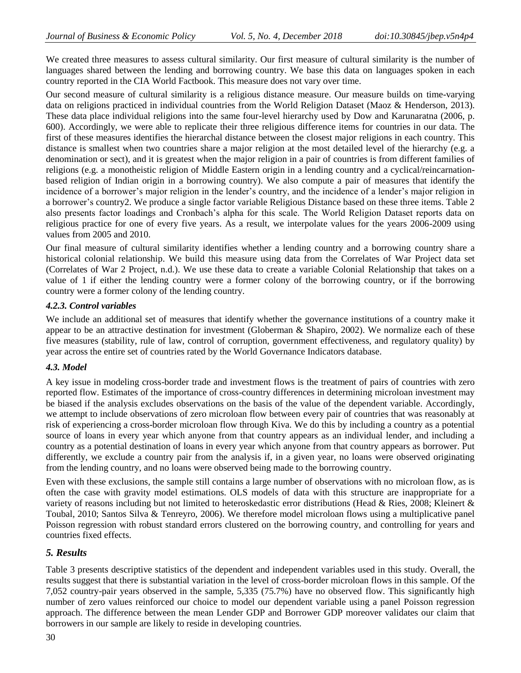We created three measures to assess cultural similarity. Our first measure of cultural similarity is the number of languages shared between the lending and borrowing country. We base this data on languages spoken in each country reported in the CIA World Factbook. This measure does not vary over time.

Our second measure of cultural similarity is a religious distance measure. Our measure builds on time-varying data on religions practiced in individual countries from the World Religion Dataset (Maoz & Henderson, 2013). These data place individual religions into the same four-level hierarchy used by Dow and Karunaratna (2006, p. 600). Accordingly, we were able to replicate their three religious difference items for countries in our data. The first of these measures identifies the hierarchal distance between the closest major religions in each country. This distance is smallest when two countries share a major religion at the most detailed level of the hierarchy (e.g. a denomination or sect), and it is greatest when the major religion in a pair of countries is from different families of religions (e.g. a monotheistic religion of Middle Eastern origin in a lending country and a cyclical/reincarnationbased religion of Indian origin in a borrowing country). We also compute a pair of measures that identify the incidence of a borrower's major religion in the lender's country, and the incidence of a lender's major religion in a borrower's country2. We produce a single factor variable Religious Distance based on these three items. Table 2 also presents factor loadings and Cronbach's alpha for this scale. The World Religion Dataset reports data on religious practice for one of every five years. As a result, we interpolate values for the years 2006-2009 using values from 2005 and 2010.

Our final measure of cultural similarity identifies whether a lending country and a borrowing country share a historical colonial relationship. We build this measure using data from the Correlates of War Project data set (Correlates of War 2 Project, n.d.). We use these data to create a variable Colonial Relationship that takes on a value of 1 if either the lending country were a former colony of the borrowing country, or if the borrowing country were a former colony of the lending country.

# *4.2.3. Control variables*

We include an additional set of measures that identify whether the governance institutions of a country make it appear to be an attractive destination for investment (Globerman & Shapiro, 2002). We normalize each of these five measures (stability, rule of law, control of corruption, government effectiveness, and regulatory quality) by year across the entire set of countries rated by the World Governance Indicators database.

#### *4.3. Model*

A key issue in modeling cross-border trade and investment flows is the treatment of pairs of countries with zero reported flow. Estimates of the importance of cross-country differences in determining microloan investment may be biased if the analysis excludes observations on the basis of the value of the dependent variable. Accordingly, we attempt to include observations of zero microloan flow between every pair of countries that was reasonably at risk of experiencing a cross-border microloan flow through Kiva. We do this by including a country as a potential source of loans in every year which anyone from that country appears as an individual lender, and including a country as a potential destination of loans in every year which anyone from that country appears as borrower. Put differently, we exclude a country pair from the analysis if, in a given year, no loans were observed originating from the lending country, and no loans were observed being made to the borrowing country.

Even with these exclusions, the sample still contains a large number of observations with no microloan flow, as is often the case with gravity model estimations. OLS models of data with this structure are inappropriate for a variety of reasons including but not limited to heteroskedastic error distributions (Head & Ries, 2008; Kleinert & Toubal, 2010; Santos Silva & Tenreyro, 2006). We therefore model microloan flows using a multiplicative panel Poisson regression with robust standard errors clustered on the borrowing country, and controlling for years and countries fixed effects.

# *5. Results*

Table 3 presents descriptive statistics of the dependent and independent variables used in this study. Overall, the results suggest that there is substantial variation in the level of cross-border microloan flows in this sample. Of the 7,052 country-pair years observed in the sample, 5,335 (75.7%) have no observed flow. This significantly high number of zero values reinforced our choice to model our dependent variable using a panel Poisson regression approach. The difference between the mean Lender GDP and Borrower GDP moreover validates our claim that borrowers in our sample are likely to reside in developing countries.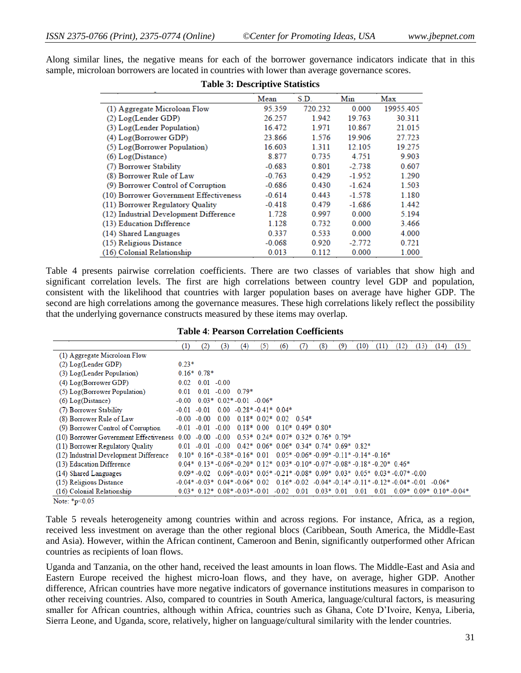Along similar lines, the negative means for each of the borrower governance indicators indicate that in this sample, microloan borrowers are located in countries with lower than average governance scores.

|                                        | Mean     | S.D.    | Min      | Max       |
|----------------------------------------|----------|---------|----------|-----------|
| (1) Aggregate Microloan Flow           | 95.359   | 720.232 | 0.000    | 19955.405 |
| (2) Log(Lender GDP)                    | 26.257   | 1.942   | 19.763   | 30.311    |
| (3) Log(Lender Population)             | 16.472   | 1.971   | 10.867   | 21.015    |
| (4) Log(Borrower GDP)                  | 23.866   | 1.576   | 19.906   | 27.723    |
| (5) Log(Borrower Population)           | 16.603   | 1311    | 12.105   | 19.275    |
| $(6)$ Log(Distance)                    | 8.877    | 0.735   | 4.751    | 9.903     |
| (7) Borrower Stability                 | $-0.683$ | 0.801   | $-2.738$ | 0.607     |
| (8) Borrower Rule of Law               | $-0.763$ | 0.429   | $-1.952$ | 1.290     |
| (9) Borrower Control of Corruption     | $-0.686$ | 0.430   | $-1.624$ | 1.503     |
| (10) Borrower Government Effectiveness | $-0.614$ | 0.443   | $-1.578$ | 1.180     |
| (11) Borrower Regulatory Quality       | $-0.418$ | 0.479   | $-1.686$ | 1.442     |
| (12) Industrial Development Difference | 1.728    | 0.997   | 0.000    | 5.194     |
| (13) Education Difference              | 1.128    | 0.732   | 0.000    | 3.466     |
| (14) Shared Languages                  | 0.337    | 0.533   | 0.000    | 4.000     |
| (15) Religious Distance                | $-0.068$ | 0.920   | $-2.772$ | 0.721     |
| (16) Colonial Relationship             | 0.013    | 0.112   | 0.000    | 1.000     |

#### **Table 3: Descriptive Statistics**

Table 4 presents pairwise correlation coefficients. There are two classes of variables that show high and significant correlation levels. The first are high correlations between country level GDP and population, consistent with the likelihood that countries with larger population bases on average have higher GDP. The second are high correlations among the governance measures. These high correlations likely reflect the possibility that the underlying governance constructs measured by these items may overlap.

|                                             | (1)     | (2)          | (3)                     | (4) | (5)                          | (6) |                                                                                                                | (8)         | (9) | (10) | (11) | (12) | (13) | (14)                   | (15) |
|---------------------------------------------|---------|--------------|-------------------------|-----|------------------------------|-----|----------------------------------------------------------------------------------------------------------------|-------------|-----|------|------|------|------|------------------------|------|
| (1) Aggregate Microloan Flow                |         |              |                         |     |                              |     |                                                                                                                |             |     |      |      |      |      |                        |      |
| $(2)$ Log(Lender GDP)                       | $0.23*$ |              |                         |     |                              |     |                                                                                                                |             |     |      |      |      |      |                        |      |
| (3) Log(Lender Population)                  |         | $0.16*0.78*$ |                         |     |                              |     |                                                                                                                |             |     |      |      |      |      |                        |      |
| $(4)$ Log(Borrower GDP)                     | 0.02    | 0.01         | $-0.00$                 |     |                              |     |                                                                                                                |             |     |      |      |      |      |                        |      |
| (5) Log(Borrower Population)                | 0.01    | 0.01         | $-0.000079*$            |     |                              |     |                                                                                                                |             |     |      |      |      |      |                        |      |
| $(6)$ Log(Distance)                         | $-0.00$ |              | $0.03*0.02*0.01 -0.06*$ |     |                              |     |                                                                                                                |             |     |      |      |      |      |                        |      |
| (7) Borrower Stability                      | $-0.01$ | $-0.01$      | 0.00                    |     | $-0.28$ * $-0.41$ * $0.04$ * |     |                                                                                                                |             |     |      |      |      |      |                        |      |
| (8) Borrower Rule of Law                    |         | $-0.00$      | 0.00                    |     |                              |     | $0.18*0.02*0.020.54*$                                                                                          |             |     |      |      |      |      |                        |      |
| (9) Borrower Control of Corruption          |         | $-0.01$      | $-0.00$                 |     | $0.18*0.00$                  |     | $0.10*0.49*0.80*$                                                                                              |             |     |      |      |      |      |                        |      |
| (10) Borrower Government Effectiveness 0.00 |         | $-0.00$      | $-0.00$                 |     |                              |     | $0.53*0.24*0.07*0.32*0.76*0.79*$                                                                               |             |     |      |      |      |      |                        |      |
| (11) Borrower Regulatory Quality            |         | -0.01        | -0.00                   |     |                              |     | $0.42*0.06*0.06*0.34*0.74*0.69*0.82*$                                                                          |             |     |      |      |      |      |                        |      |
| (12) Industrial Development Difference      |         |              |                         |     |                              |     | $0.10*$ $0.16*$ $-0.38*$ $-0.16*$ $0.01$ $0.05*$ $-0.06*$ $-0.09*$ $-0.11*$ $-0.14*$ $-0.16*$                  |             |     |      |      |      |      |                        |      |
| (13) Education Difference                   |         |              |                         |     |                              |     | $0.04*$ $0.13*$ $-0.06*$ $-0.20*$ $0.12*$ $0.03*$ $-0.10*$ $-0.07*$ $-0.08*$ $-0.18*$ $-0.20*$ $0.46*$         |             |     |      |      |      |      |                        |      |
| (14) Shared Languages                       |         |              |                         |     |                              |     | $0.09* -0.02$ $0.06* -0.03*$ $0.05* -0.21* -0.08*$ $0.09*$ $0.03*$ $0.05*$ $0.03* -0.07* -0.00$                |             |     |      |      |      |      |                        |      |
| (15) Religious Distance                     |         |              |                         |     |                              |     | $-0.04*$ $-0.03*$ 0.04* $-0.06*$ 0.02 0.16* $-0.02$ 0.04* $-0.14*$ $-0.11*$ $-0.12*$ $-0.04*$ $-0.01$ $-0.06*$ |             |     |      |      |      |      |                        |      |
| (16) Colonial Relationship                  |         |              |                         |     |                              |     | $0.03*0.12*0.08*0.03*0.01-0.02$ 0.01                                                                           | $0.03*0.01$ |     | 0.01 | 0.01 |      |      | $0.09*0.09*0.10*0.04*$ |      |

#### **Table 4**: **Pearson Correlation Coefficients**

Note: \*p<0.05

Table 5 reveals heterogeneity among countries within and across regions. For instance, Africa, as a region, received less investment on average than the other regional blocs (Caribbean, South America, the Middle-East and Asia). However, within the African continent, Cameroon and Benin, significantly outperformed other African countries as recipients of loan flows.

Uganda and Tanzania, on the other hand, received the least amounts in loan flows. The Middle-East and Asia and Eastern Europe received the highest micro-loan flows, and they have, on average, higher GDP. Another difference, African countries have more negative indicators of governance institutions measures in comparison to other receiving countries. Also, compared to countries in South America, language/cultural factors, is measuring smaller for African countries, although within Africa, countries such as Ghana, Cote D'Ivoire, Kenya, Liberia, Sierra Leone, and Uganda, score, relatively, higher on language/cultural similarity with the lender countries.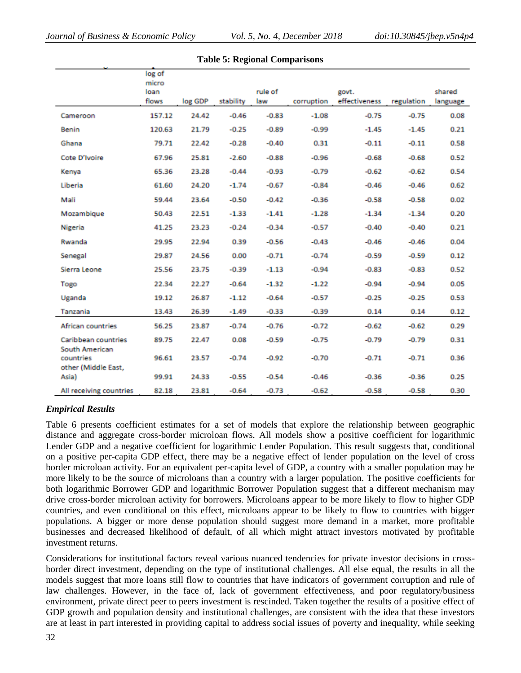|                                                    | log of<br>micro |         |           |         |            |               |            |          |
|----------------------------------------------------|-----------------|---------|-----------|---------|------------|---------------|------------|----------|
|                                                    | loan            |         |           | rule of |            | govt.         |            | shared   |
|                                                    | flows           | log GDP | stability | law     | corruption | effectiveness | regulation | language |
| Cameroon                                           | 157.12          | 24.42   | $-0.46$   | $-0.83$ | $-1.08$    | $-0.75$       | $-0.75$    | 0.08     |
| Benin                                              | 120.63          | 21.79   | $-0.25$   | $-0.89$ | $-0.99$    | $-1.45$       | $-1.45$    | 0.21     |
| Ghana                                              | 79.71           | 22.42   | $-0.28$   | $-0.40$ | 0.31       | $-0.11$       | $-0.11$    | 0.58     |
| Cote D'Ivoire                                      | 67.96           | 25.81   | $-2.60$   | $-0.88$ | $-0.96$    | $-0.68$       | $-0.68$    | 0.52     |
| Kenya                                              | 65.36           | 23.28   | $-0.44$   | $-0.93$ | $-0.79$    | $-0.62$       | $-0.62$    | 0.54     |
| Liberia                                            | 61.60           | 24.20   | $-1.74$   | $-0.67$ | $-0.84$    | $-0.46$       | $-0.46$    | 0.62     |
| Mali                                               | 59.44           | 23.64   | $-0.50$   | $-0.42$ | $-0.36$    | $-0.58$       | $-0.58$    | 0.02     |
| Mozambique                                         | 50.43           | 22.51   | $-1.33$   | $-1.41$ | $-1.28$    | $-1.34$       | $-1.34$    | 0.20     |
| Nigeria                                            | 41.25           | 23.23   | $-0.24$   | $-0.34$ | $-0.57$    | $-0.40$       | $-0.40$    | 0.21     |
| Rwanda                                             | 29.95           | 22.94   | 0.39      | $-0.56$ | $-0.43$    | $-0.46$       | $-0.46$    | 0.04     |
| Senegal                                            | 29.87           | 24.56   | 0.00      | $-0.71$ | $-0.74$    | $-0.59$       | $-0.59$    | 0.12     |
| Sierra Leone                                       | 25.56           | 23.75   | $-0.39$   | $-1.13$ | $-0.94$    | $-0.83$       | $-0.83$    | 0.52     |
| Togo                                               | 22.34           | 22.27   | $-0.64$   | $-1.32$ | $-1.22$    | $-0.94$       | $-0.94$    | 0.05     |
| Uganda                                             | 19.12           | 26.87   | $-1.12$   | $-0.64$ | $-0.57$    | $-0.25$       | $-0.25$    | 0.53     |
| Tanzania                                           | 13.43           | 26.39   | $-1.49$   | $-0.33$ | $-0.39$    | 0.14          | 0.14       | 0.12     |
| African countries                                  | 56.25           | 23.87   | $-0.74$   | $-0.76$ | $-0.72$    | $-0.62$       | $-0.62$    | 0.29     |
| Caribbean countries                                | 89.75           | 22.47   | 0.08      | $-0.59$ | $-0.75$    | $-0.79$       | $-0.79$    | 0.31     |
| South American<br>countries<br>other (Middle East, | 96.61           | 23.57   | $-0.74$   | $-0.92$ | $-0.70$    | $-0.71$       | $-0.71$    | 0.36     |
| Asia)                                              | 99.91           | 24.33   | $-0.55$   | $-0.54$ | $-0.46$    | $-0.36$       | $-0.36$    | 0.25     |
| All receiving countries                            | 82.18           | 23.81   | $-0.64$   | $-0.73$ | $-0.62$    | $-0.58$       | $-0.58$    | 0.30     |

#### **Table 5: Regional Comparisons**

# *Empirical Results*

Table 6 presents coefficient estimates for a set of models that explore the relationship between geographic distance and aggregate cross-border microloan flows. All models show a positive coefficient for logarithmic Lender GDP and a negative coefficient for logarithmic Lender Population. This result suggests that, conditional on a positive per-capita GDP effect, there may be a negative effect of lender population on the level of cross border microloan activity. For an equivalent per-capita level of GDP, a country with a smaller population may be more likely to be the source of microloans than a country with a larger population. The positive coefficients for both logarithmic Borrower GDP and logarithmic Borrower Population suggest that a different mechanism may drive cross-border microloan activity for borrowers. Microloans appear to be more likely to flow to higher GDP countries, and even conditional on this effect, microloans appear to be likely to flow to countries with bigger populations. A bigger or more dense population should suggest more demand in a market, more profitable businesses and decreased likelihood of default, of all which might attract investors motivated by profitable investment returns.

Considerations for institutional factors reveal various nuanced tendencies for private investor decisions in crossborder direct investment, depending on the type of institutional challenges. All else equal, the results in all the models suggest that more loans still flow to countries that have indicators of government corruption and rule of law challenges. However, in the face of, lack of government effectiveness, and poor regulatory/business environment, private direct peer to peers investment is rescinded. Taken together the results of a positive effect of GDP growth and population density and institutional challenges, are consistent with the idea that these investors are at least in part interested in providing capital to address social issues of poverty and inequality, while seeking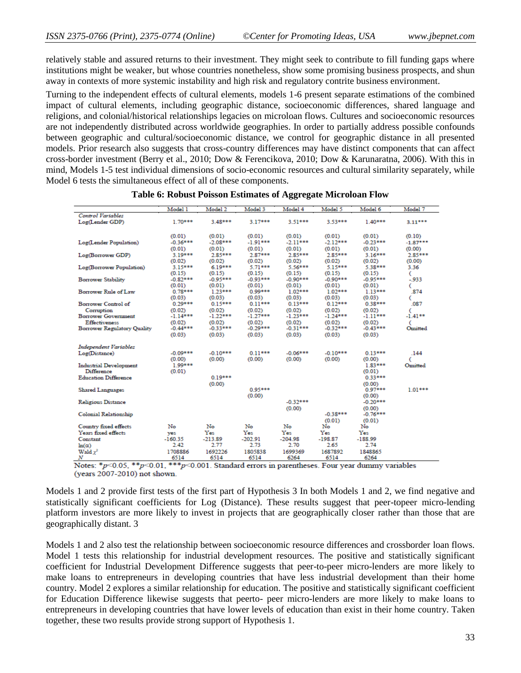relatively stable and assured returns to their investment. They might seek to contribute to fill funding gaps where institutions might be weaker, but whose countries nonetheless, show some promising business prospects, and shun away in contexts of more systemic instability and high risk and regulatory contrite business environment.

Turning to the independent effects of cultural elements, models 1-6 present separate estimations of the combined impact of cultural elements, including geographic distance, socioeconomic differences, shared language and religions, and colonial/historical relationships legacies on microloan flows. Cultures and socioeconomic resources are not independently distributed across worldwide geographies. In order to partially address possible confounds between geographic and cultural/socioeconomic distance, we control for geographic distance in all presented models. Prior research also suggests that cross-country differences may have distinct components that can affect cross-border investment (Berry et al., 2010; Dow & Ferencikova, 2010; Dow & Karunaratna, 2006). With this in mind, Models 1-5 test individual dimensions of socio-economic resources and cultural similarity separately, while Model 6 tests the simultaneous effect of all of these components.

|                               | Model 1    | Model 2    | Model 3    | Model 4    | Model 5    | Model 6    | Model 7    |
|-------------------------------|------------|------------|------------|------------|------------|------------|------------|
| Control Variables             |            |            |            |            |            |            |            |
| Log(Lender GDP)               | $1.70***$  | 3.48***    | 3.17***    | $3.51***$  | $3.53***$  | $1.40***$  | $3.11***$  |
|                               |            |            |            |            |            |            |            |
|                               | (0.01)     | (0.01)     | (0.01)     | (0.01)     | (0.01)     | (0.01)     | (0.10)     |
| Log(Lender Population)        | $-0.36***$ | $-2.08***$ | $-1.91***$ | $-2.11***$ | $-2.12***$ | $-0.23***$ | $-1.87***$ |
|                               | (0.01)     | (0.01)     | (0.01)     | (0.01)     | (0.01)     | (0.01)     | (0.00)     |
| Log(Borrower GDP)             | $3.19***$  | 2.85***    | 2.87***    | $2.85***$  | 2.85***    | $3.16***$  | 2.85***    |
|                               | (0.02)     | (0.02)     | (0.02)     | (0.02)     | (0.02)     | (0.02)     | (0.00)     |
| Log(Borrower Population)      | 3.15***    | $6.19***$  | 5.71***    | 5.56***    | 5.15***    | 5.38***    | 3.36       |
|                               | (0.15)     | (0.15)     | (0.15)     | (0.15)     | (0.15)     | (0.15)     | €          |
| <b>Borrower Stability</b>     | $-0.82***$ | $-0.95***$ | $-0.93***$ | $-0.90***$ | $-0.90***$ | $-0.95***$ | $-933$     |
|                               | (0.01)     | (0.01)     | (0.01)     | (0.01)     | (0.01)     | (0.01)     | c          |
| Borrower Rule of Law          | $0.78***$  | $1.23***$  | 0.99***    | $1.02***$  | $1.02***$  | $1.13***$  | .874       |
|                               | (0.03)     | (0.03)     | (0.03)     | (0.03)     | (0.03)     | (0.03)     | c          |
| Borrower Control of           | $0.29***$  | $0.15***$  | $0.11***$  | $0.13***$  | $0.12***$  | $0.38***$  | .087       |
| Comuption                     | (0.02)     | (0.02)     | (0.02)     | (0.02)     | (0.02)     | (0.02)     |            |
| <b>Borrower Government</b>    | $-1.14***$ | $-1.22***$ | $-1.27***$ | $-1.23***$ | $-1.24***$ | $-1.11***$ | $-1.41**$  |
| <b>Effectiveness</b>          | (0.02)     | (0.02)     | (0.02)     | (0.02)     | (0.02)     | (0.02)     | C          |
| Borrower Regulatory Quality   | $-0.44***$ | $-0.33***$ | $-0.29***$ | $-0.31***$ | $-0.32***$ | $-0.43***$ | Omitted    |
|                               | (0.03)     | (0.03)     | (0.03)     | (0.03)     | (0.03)     | (0.03)     |            |
|                               |            |            |            |            |            |            |            |
| Independent Variables         |            |            |            |            |            |            |            |
| Log(Distance)                 | $-0.09***$ | $-0.10***$ | $0.11***$  | $-0.06***$ | $-0.10***$ | $0.13***$  | .144       |
|                               | (0.00)     | (0.00)     | (0.00)     | (0.00)     | (0.00)     | (0.00)     | C          |
| <b>Industrial Development</b> | $1.99***$  |            |            |            |            | 1.83***    | Omitted    |
| Difference                    | (0.01)     |            |            |            |            | (0.01)     |            |
| <b>Education Difference</b>   |            | $0.19***$  |            |            |            | $0.33***$  |            |
|                               |            | (0.00)     |            |            |            | (0.00)     |            |
| <b>Shared Languages</b>       |            |            | 0.95***    |            |            | $0.97***$  | $1.01***$  |
|                               |            |            | (0.00)     |            |            | (0.00)     |            |
| <b>Religious Distance</b>     |            |            |            | $-0.32***$ |            | $-0.20***$ |            |
|                               |            |            |            | (0.00)     |            | (0.00)     |            |
| <b>Colonial Relationship</b>  |            |            |            |            | $-0.38***$ | $-0.76***$ |            |
|                               |            |            |            |            | (0.01)     | (0.01)     |            |
| Country fixed effects         | No         | No         | No         | No         | No         | No         |            |
| Years fixed effects           | yes        | Yes        | Yes        | Yes        | Yes        | Yes        |            |
| Constant                      | $-160.35$  | $-213.89$  | $-202.91$  | $-204.98$  | $-198.87$  | $-188.99$  |            |
| $ln(\alpha)$                  | 2.42       | 2.77       | 2.73       | 2.70       | 2.65       | 2.74       |            |
| Wald $x^2$                    | 1708886    | 1692226    | 1805838    | 1699369    | 1687892    | 1848865    |            |
| N                             | 6514       | 6514       | 6514       | 6264       | 6514       | 6264       |            |

#### **Table 6: Robust Poisson Estimates of Aggregate Microloan Flow**

Notes: \*p<0.05, \*\*p<0.01, \*\*\*p<0.001. Standard errors in parentheses. Four year dummy variables (years 2007-2010) not shown.

Models 1 and 2 provide first tests of the first part of Hypothesis 3 In both Models 1 and 2, we find negative and statistically significant coefficients for Log (Distance). These results suggest that peer-topeer micro-lending platform investors are more likely to invest in projects that are geographically closer rather than those that are geographically distant. 3

Models 1 and 2 also test the relationship between socioeconomic resource differences and crossborder loan flows. Model 1 tests this relationship for industrial development resources. The positive and statistically significant coefficient for Industrial Development Difference suggests that peer-to-peer micro-lenders are more likely to make loans to entrepreneurs in developing countries that have less industrial development than their home country. Model 2 explores a similar relationship for education. The positive and statistically significant coefficient for Education Difference likewise suggests that peerto- peer micro-lenders are more likely to make loans to entrepreneurs in developing countries that have lower levels of education than exist in their home country. Taken together, these two results provide strong support of Hypothesis 1.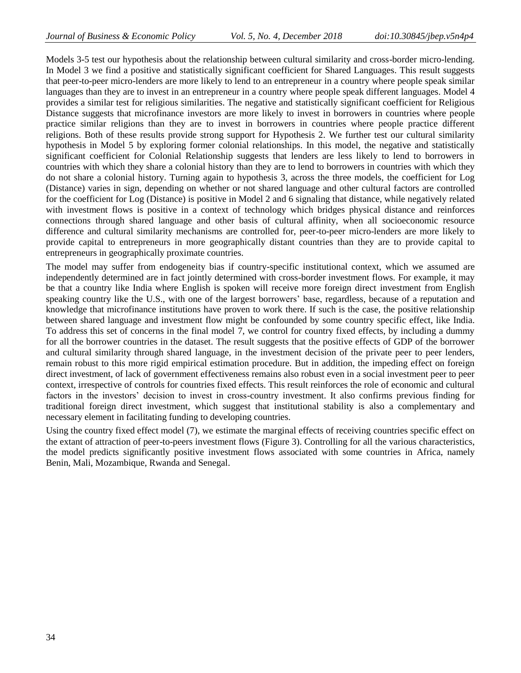Models 3-5 test our hypothesis about the relationship between cultural similarity and cross-border micro-lending. In Model 3 we find a positive and statistically significant coefficient for Shared Languages. This result suggests that peer-to-peer micro-lenders are more likely to lend to an entrepreneur in a country where people speak similar languages than they are to invest in an entrepreneur in a country where people speak different languages. Model 4 provides a similar test for religious similarities. The negative and statistically significant coefficient for Religious Distance suggests that microfinance investors are more likely to invest in borrowers in countries where people practice similar religions than they are to invest in borrowers in countries where people practice different religions. Both of these results provide strong support for Hypothesis 2. We further test our cultural similarity hypothesis in Model 5 by exploring former colonial relationships. In this model, the negative and statistically significant coefficient for Colonial Relationship suggests that lenders are less likely to lend to borrowers in countries with which they share a colonial history than they are to lend to borrowers in countries with which they do not share a colonial history. Turning again to hypothesis 3, across the three models, the coefficient for Log (Distance) varies in sign, depending on whether or not shared language and other cultural factors are controlled for the coefficient for Log (Distance) is positive in Model 2 and 6 signaling that distance, while negatively related with investment flows is positive in a context of technology which bridges physical distance and reinforces connections through shared language and other basis of cultural affinity, when all socioeconomic resource difference and cultural similarity mechanisms are controlled for, peer-to-peer micro-lenders are more likely to provide capital to entrepreneurs in more geographically distant countries than they are to provide capital to entrepreneurs in geographically proximate countries.

The model may suffer from endogeneity bias if country-specific institutional context, which we assumed are independently determined are in fact jointly determined with cross-border investment flows. For example, it may be that a country like India where English is spoken will receive more foreign direct investment from English speaking country like the U.S., with one of the largest borrowers' base, regardless, because of a reputation and knowledge that microfinance institutions have proven to work there. If such is the case, the positive relationship between shared language and investment flow might be confounded by some country specific effect, like India. To address this set of concerns in the final model 7, we control for country fixed effects, by including a dummy for all the borrower countries in the dataset. The result suggests that the positive effects of GDP of the borrower and cultural similarity through shared language, in the investment decision of the private peer to peer lenders, remain robust to this more rigid empirical estimation procedure. But in addition, the impeding effect on foreign direct investment, of lack of government effectiveness remains also robust even in a social investment peer to peer context, irrespective of controls for countries fixed effects. This result reinforces the role of economic and cultural factors in the investors' decision to invest in cross-country investment. It also confirms previous finding for traditional foreign direct investment, which suggest that institutional stability is also a complementary and necessary element in facilitating funding to developing countries.

Using the country fixed effect model (7), we estimate the marginal effects of receiving countries specific effect on the extant of attraction of peer-to-peers investment flows (Figure 3). Controlling for all the various characteristics, the model predicts significantly positive investment flows associated with some countries in Africa, namely Benin, Mali, Mozambique, Rwanda and Senegal.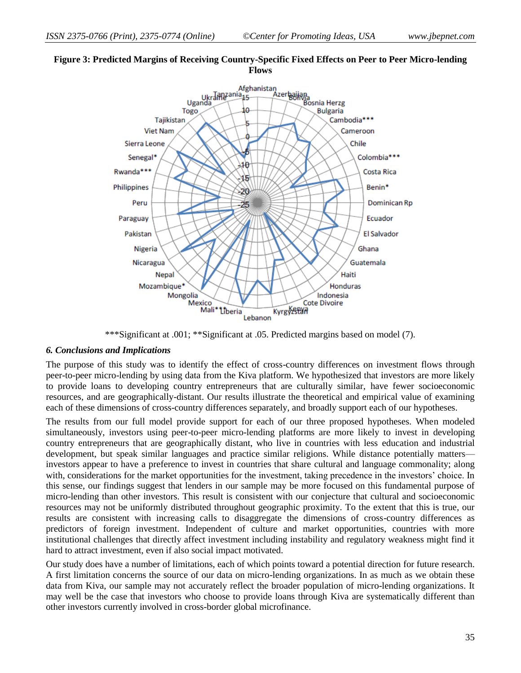

# **Figure 3: Predicted Margins of Receiving Country-Specific Fixed Effects on Peer to Peer Micro-lending Flows**

\*\*\*Significant at .001; \*\*Significant at .05. Predicted margins based on model (7).

# *6. Conclusions and Implications*

The purpose of this study was to identify the effect of cross-country differences on investment flows through peer-to-peer micro-lending by using data from the Kiva platform. We hypothesized that investors are more likely to provide loans to developing country entrepreneurs that are culturally similar, have fewer socioeconomic resources, and are geographically-distant. Our results illustrate the theoretical and empirical value of examining each of these dimensions of cross-country differences separately, and broadly support each of our hypotheses.

The results from our full model provide support for each of our three proposed hypotheses. When modeled simultaneously, investors using peer-to-peer micro-lending platforms are more likely to invest in developing country entrepreneurs that are geographically distant, who live in countries with less education and industrial development, but speak similar languages and practice similar religions. While distance potentially matters investors appear to have a preference to invest in countries that share cultural and language commonality; along with, considerations for the market opportunities for the investment, taking precedence in the investors' choice. In this sense, our findings suggest that lenders in our sample may be more focused on this fundamental purpose of micro-lending than other investors. This result is consistent with our conjecture that cultural and socioeconomic resources may not be uniformly distributed throughout geographic proximity. To the extent that this is true, our results are consistent with increasing calls to disaggregate the dimensions of cross-country differences as predictors of foreign investment. Independent of culture and market opportunities, countries with more institutional challenges that directly affect investment including instability and regulatory weakness might find it hard to attract investment, even if also social impact motivated.

Our study does have a number of limitations, each of which points toward a potential direction for future research. A first limitation concerns the source of our data on micro-lending organizations. In as much as we obtain these data from Kiva, our sample may not accurately reflect the broader population of micro-lending organizations. It may well be the case that investors who choose to provide loans through Kiva are systematically different than other investors currently involved in cross-border global microfinance.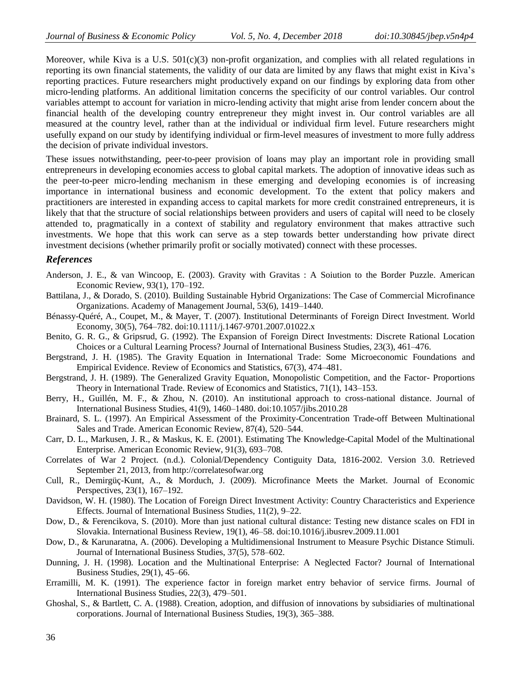Moreover, while Kiva is a U.S.  $501(c)(3)$  non-profit organization, and complies with all related regulations in reporting its own financial statements, the validity of our data are limited by any flaws that might exist in Kiva's reporting practices. Future researchers might productively expand on our findings by exploring data from other micro-lending platforms. An additional limitation concerns the specificity of our control variables. Our control variables attempt to account for variation in micro-lending activity that might arise from lender concern about the financial health of the developing country entrepreneur they might invest in. Our control variables are all measured at the country level, rather than at the individual or individual firm level. Future researchers might usefully expand on our study by identifying individual or firm-level measures of investment to more fully address the decision of private individual investors.

These issues notwithstanding, peer-to-peer provision of loans may play an important role in providing small entrepreneurs in developing economies access to global capital markets. The adoption of innovative ideas such as the peer-to-peer micro-lending mechanism in these emerging and developing economies is of increasing importance in international business and economic development. To the extent that policy makers and practitioners are interested in expanding access to capital markets for more credit constrained entrepreneurs, it is likely that that the structure of social relationships between providers and users of capital will need to be closely attended to, pragmatically in a context of stability and regulatory environment that makes attractive such investments. We hope that this work can serve as a step towards better understanding how private direct investment decisions (whether primarily profit or socially motivated) connect with these processes.

#### *References*

- Anderson, J. E., & van Wincoop, E. (2003). Gravity with Gravitas : A Soiution to the Border Puzzle. American Economic Review, 93(1), 170–192.
- Battilana, J., & Dorado, S. (2010). Building Sustainable Hybrid Organizations: The Case of Commercial Microfinance Organizations. Academy of Management Journal, 53(6), 1419–1440.
- Bénassy-Quéré, A., Coupet, M., & Mayer, T. (2007). Institutional Determinants of Foreign Direct Investment. World Economy, 30(5), 764–782. doi:10.1111/j.1467-9701.2007.01022.x
- Benito, G. R. G., & Gripsrud, G. (1992). The Expansion of Foreign Direct Investments: Discrete Rational Location Choices or a Cultural Learning Process? Journal of International Business Studies, 23(3), 461–476.
- Bergstrand, J. H. (1985). The Gravity Equation in International Trade: Some Microeconomic Foundations and Empirical Evidence. Review of Economics and Statistics, 67(3), 474–481.
- Bergstrand, J. H. (1989). The Generalized Gravity Equation, Monopolistic Competition, and the Factor- Proportions Theory in International Trade. Review of Economics and Statistics, 71(1), 143–153.
- Berry, H., Guillén, M. F., & Zhou, N. (2010). An institutional approach to cross-national distance. Journal of International Business Studies, 41(9), 1460–1480. doi:10.1057/jibs.2010.28
- Brainard, S. L. (1997). An Empirical Assessment of the Proximity-Concentration Trade-off Between Multinational Sales and Trade. American Economic Review, 87(4), 520–544.
- Carr, D. L., Markusen, J. R., & Maskus, K. E. (2001). Estimating The Knowledge-Capital Model of the Multinational Enterprise. American Economic Review, 91(3), 693–708.
- Correlates of War 2 Project. (n.d.). Colonial/Dependency Contiguity Data, 1816-2002. Version 3.0. Retrieved September 21, 2013, from http://correlatesofwar.org
- Cull, R., Demirgüç-Kunt, A., & Morduch, J. (2009). Microfinance Meets the Market. Journal of Economic Perspectives, 23(1), 167–192.
- Davidson, W. H. (1980). The Location of Foreign Direct Investment Activity: Country Characteristics and Experience Effects. Journal of International Business Studies, 11(2), 9–22.
- Dow, D., & Ferencikova, S. (2010). More than just national cultural distance: Testing new distance scales on FDI in Slovakia. International Business Review, 19(1), 46–58. doi:10.1016/j.ibusrev.2009.11.001
- Dow, D., & Karunaratna, A. (2006). Developing a Multidimensional Instrument to Measure Psychic Distance Stimuli. Journal of International Business Studies, 37(5), 578–602.
- Dunning, J. H. (1998). Location and the Multinational Enterprise: A Neglected Factor? Journal of International Business Studies, 29(1), 45–66.
- Erramilli, M. K. (1991). The experience factor in foreign market entry behavior of service firms. Journal of International Business Studies, 22(3), 479–501.
- Ghoshal, S., & Bartlett, C. A. (1988). Creation, adoption, and diffusion of innovations by subsidiaries of multinational corporations. Journal of International Business Studies, 19(3), 365–388.